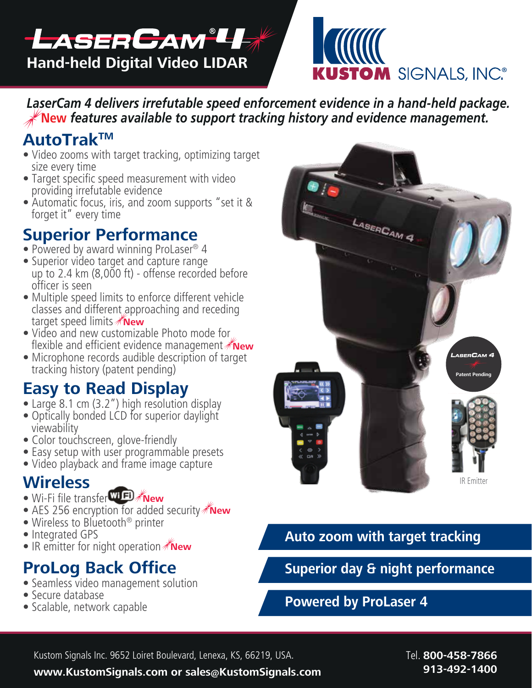



*LaserCam 4 delivers irrefutable speed enforcement evidence in a hand-held package.*   **New** *features available to support tracking history and evidence management.*

# **AutoTrakTM**

- Video zooms with target tracking, optimizing target size every time
- Target specific speed measurement with video providing irrefutable evidence
- Automatic focus, iris, and zoom supports "set it & forget it" every time

# **Superior Performance**

- Powered by award winning ProLaser® 4
- Superior video target and capture range up to 2.4 km (8,000 ft) - offense recorded before officer is seen
- Multiple speed limits to enforce different vehicle classes and different approaching and receding target speed limits *New*
- Video and new customizable Photo mode for flexible and efficient evidence management **∦New**
- Microphone records audible description of target tracking history (patent pending)

# **Easy to Read Display**

- Large 8.1 cm (3.2") high resolution display
- Optically bonded LCD for superior daylight viewability
- Color touchscreen, glove-friendly
- Easy setup with user programmable presets
- Video playback and frame image capture

# **Wireless**

- Wi-Fi file transfer**WiFU KNew**
- AES 256 encryption for added security **\*New**
- Wireless to Bluetooth<sup>®</sup> printer
- Integrated GPS
- IR emitter for night operation **New**

# **ProLog Back Office**

- Seamless video management solution
- Secure database
- Scalable, network capable



## **Auto zoom with target tracking**

**Superior day & night performance**

### **Powered by ProLaser 4**

Kustom Signals Inc. 9652 Loiret Boulevard, Lenexa, KS, 66219, USA. Tell. **800-458-7866** 

**www.KustomSignals.com or sales@KustomSignals.com 913-492-1400**